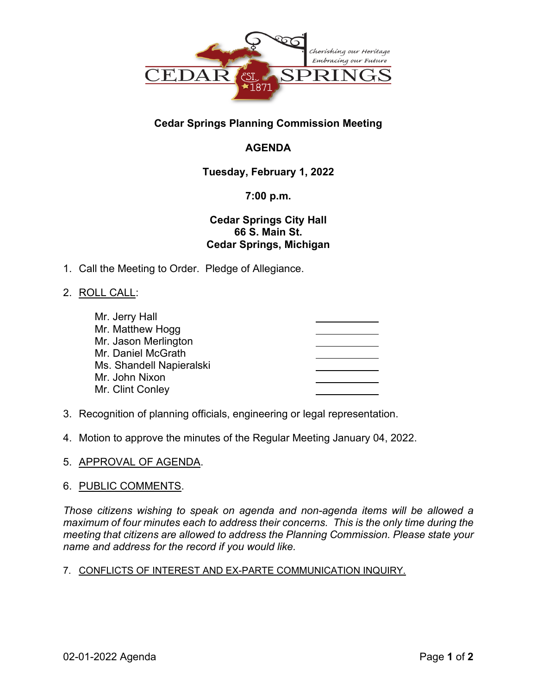

# **Cedar Springs Planning Commission Meeting**

# **AGENDA**

# **Tuesday, February 1, 2022**

# **7:00 p.m.**

# **Cedar Springs City Hall 66 S. Main St. Cedar Springs, Michigan**

1. Call the Meeting to Order. Pledge of Allegiance.

# 2. ROLL CALL:

| Mr. Jerry Hall           |  |
|--------------------------|--|
| Mr. Matthew Hogg         |  |
| Mr. Jason Merlington     |  |
| Mr. Daniel McGrath       |  |
| Ms. Shandell Napieralski |  |
| Mr. John Nixon           |  |
| Mr. Clint Conley         |  |
|                          |  |

- 3. Recognition of planning officials, engineering or legal representation.
- 4. Motion to approve the minutes of the Regular Meeting January 04, 2022.
- 5. APPROVAL OF AGENDA.

### 6. PUBLIC COMMENTS.

*Those citizens wishing to speak on agenda and non-agenda items will be allowed a maximum of four minutes each to address their concerns. This is the only time during the meeting that citizens are allowed to address the Planning Commission. Please state your name and address for the record if you would like.*

### 7. CONFLICTS OF INTEREST AND EX-PARTE COMMUNICATION INQUIRY.